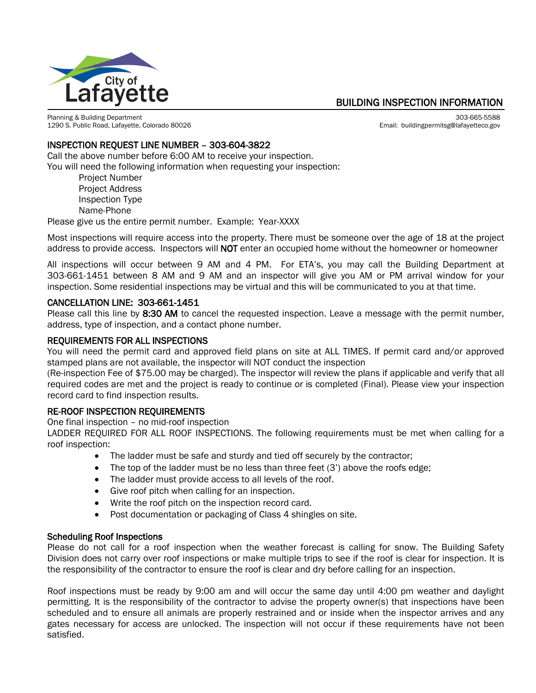

# BUILDING INSPECTION INFORMATION

Planning & Building Department 303-665-5588<br>1290 S. Public Road, Lafayette, Colorado 80026 Santiaguage and Suilding Email: building permits g@lafayetteco.gov 1290 S. Public Road, Lafayette, Colorado 80026

## INSPECTION REQUEST LINE NUMBER – 303-604-3822

Call the above number before 6:00 AM to receive your inspection. You will need the following information when requesting your inspection:

Project Number Project Address Inspection Type Name-Phone

Please give us the entire permit number. Example: Year-XXXX

Most inspections will require access into the property. There must be someone over the age of 18 at the project address to provide access. Inspectors will **NOT** enter an occupied home without the homeowner or homeowner

All inspections will occur between 9 AM and 4 PM. For ETA's, you may call the Building Department at 303-661-1451 between 8 AM and 9 AM and an inspector will give you AM or PM arrival window for your inspection. Some residential inspections may be virtual and this will be communicated to you at that time.

### CANCELLATION LINE: 303-661-1451

Please call this line by 8:30 AM to cancel the requested inspection. Leave a message with the permit number, address, type of inspection, and a contact phone number.

### REQUIREMENTS FOR ALL INSPECTIONS

You will need the permit card and approved field plans on site at ALL TIMES. If permit card and/or approved stamped plans are not available, the inspector will NOT conduct the inspection

(Re-inspection Fee of \$75.00 may be charged). The inspector will review the plans if applicable and verify that all required codes are met and the project is ready to continue or is completed (Final). Please view your inspection record card to find inspection results.

### RE-ROOF INSPECTION REQUIREMENTS

One final inspection – no mid-roof inspection

LADDER REQUIRED FOR ALL ROOF INSPECTIONS. The following requirements must be met when calling for a roof inspection:

- The ladder must be safe and sturdy and tied off securely by the contractor;
- The top of the ladder must be no less than three feet (3') above the roofs edge;
- The ladder must provide access to all levels of the roof.
- Give roof pitch when calling for an inspection.
- Write the roof pitch on the inspection record card.
- Post documentation or packaging of Class 4 shingles on site.

### Scheduling Roof Inspections

Please do not call for a roof inspection when the weather forecast is calling for snow. The Building Safety Division does not carry over roof inspections or make multiple trips to see if the roof is clear for inspection. It is the responsibility of the contractor to ensure the roof is clear and dry before calling for an inspection.

Roof inspections must be ready by 9:00 am and will occur the same day until 4:00 pm weather and daylight permitting. It is the responsibility of the contractor to advise the property owner(s) that inspections have been scheduled and to ensure all animals are properly restrained and or inside when the inspector arrives and any gates necessary for access are unlocked. The inspection will not occur if these requirements have not been satisfied.